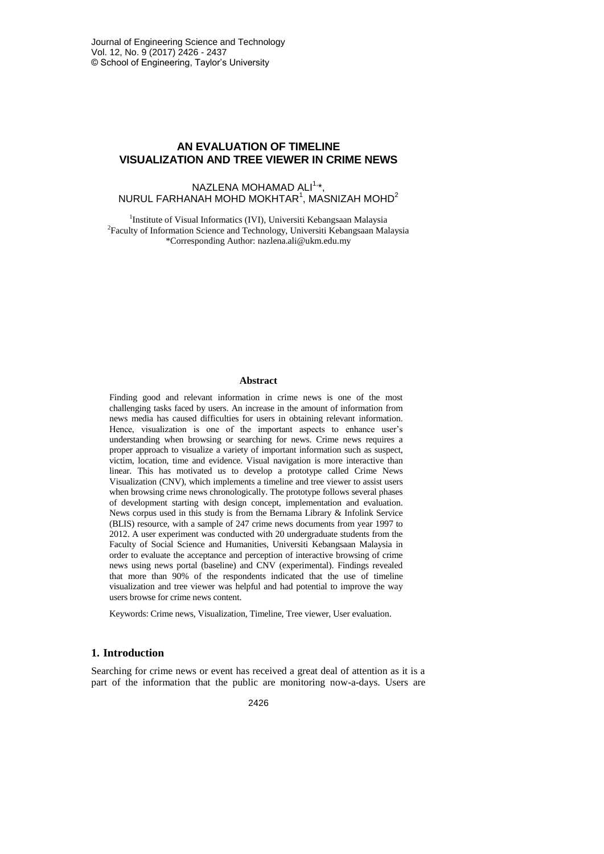# **AN EVALUATION OF TIMELINE VISUALIZATION AND TREE VIEWER IN CRIME NEWS**

NAZLENA MOHAMAD ALI<sup>1,</sup>\*, NURUL FARHANAH MOHD MOKHTAR $^{\rm 1}$ , MASNIZAH MOHD $^{\rm 2}$ 

<sup>1</sup>Institute of Visual Informatics (IVI), Universiti Kebangsaan Malaysia <sup>2</sup> Faculty of Information Science and Technology, Universiti Kebangsaan Malaysia \*Corresponding Author: nazlena.ali@ukm.edu.my

#### **Abstract**

Finding good and relevant information in crime news is one of the most challenging tasks faced by users. An increase in the amount of information from news media has caused difficulties for users in obtaining relevant information. Hence, visualization is one of the important aspects to enhance user's understanding when browsing or searching for news. Crime news requires a proper approach to visualize a variety of important information such as suspect, victim, location, time and evidence. Visual navigation is more interactive than linear. This has motivated us to develop a prototype called Crime News Visualization (CNV), which implements a timeline and tree viewer to assist users when browsing crime news chronologically. The prototype follows several phases of development starting with design concept, implementation and evaluation. News corpus used in this study is from the Bernama Library & Infolink Service (BLIS) resource, with a sample of 247 crime news documents from year 1997 to 2012. A user experiment was conducted with 20 undergraduate students from the Faculty of Social Science and Humanities, Universiti Kebangsaan Malaysia in order to evaluate the acceptance and perception of interactive browsing of crime news using news portal (baseline) and CNV (experimental). Findings revealed that more than 90% of the respondents indicated that the use of timeline visualization and tree viewer was helpful and had potential to improve the way users browse for crime news content.

Keywords: Crime news, Visualization, Timeline, Tree viewer, User evaluation.

# **1. Introduction**

Searching for crime news or event has received a great deal of attention as it is a part of the information that the public are monitoring now-a-days. Users are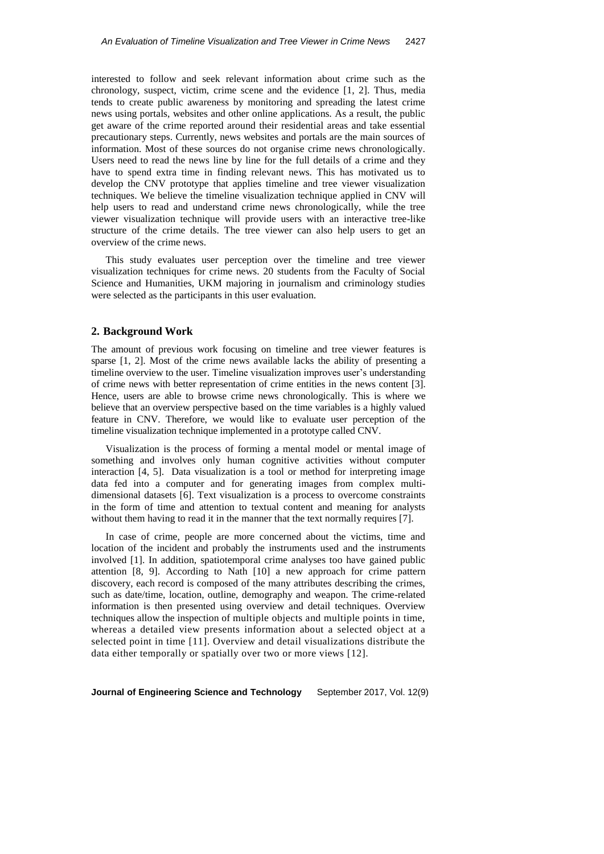interested to follow and seek relevant information about crime such as the chronology, suspect, victim, crime scene and the evidence [1, 2]. Thus, media tends to create public awareness by monitoring and spreading the latest crime news using portals, websites and other online applications. As a result, the public get aware of the crime reported around their residential areas and take essential precautionary steps. Currently, news websites and portals are the main sources of information. Most of these sources do not organise crime news chronologically. Users need to read the news line by line for the full details of a crime and they have to spend extra time in finding relevant news. This has motivated us to develop the CNV prototype that applies timeline and tree viewer visualization techniques. We believe the timeline visualization technique applied in CNV will help users to read and understand crime news chronologically, while the tree viewer visualization technique will provide users with an interactive tree-like structure of the crime details. The tree viewer can also help users to get an overview of the crime news.

This study evaluates user perception over the timeline and tree viewer visualization techniques for crime news. 20 students from the Faculty of Social Science and Humanities, UKM majoring in journalism and criminology studies were selected as the participants in this user evaluation.

# **2. Background Work**

The amount of previous work focusing on timeline and tree viewer features is sparse [1, 2]. Most of the crime news available lacks the ability of presenting a timeline overview to the user. Timeline visualization improves user's understanding of crime news with better representation of crime entities in the news content [3]. Hence, users are able to browse crime news chronologically. This is where we believe that an overview perspective based on the time variables is a highly valued feature in CNV. Therefore, we would like to evaluate user perception of the timeline visualization technique implemented in a prototype called CNV.

Visualization is the process of forming a mental model or mental image of something and involves only human cognitive activities without computer interaction [4, 5]. Data visualization is a tool or method for interpreting image data fed into a computer and for generating images from complex multidimensional datasets [6]. Text visualization is a process to overcome constraints in the form of time and attention to textual content and meaning for analysts without them having to read it in the manner that the text normally requires [7].

In case of crime, people are more concerned about the victims, time and location of the incident and probably the instruments used and the instruments involved [1]. In addition, spatiotemporal crime analyses too have gained public attention [8, 9]. According to Nath [10] a new approach for crime pattern discovery, each record is composed of the many attributes describing the crimes, such as date/time, location, outline, demography and weapon. The crime-related information is then presented using overview and detail techniques. Overview techniques allow the inspection of multiple objects and multiple points in time, whereas a detailed view presents information about a selected object at a selected point in time [11]. Overview and detail visualizations distribute the data either temporally or spatially over two or more views [12].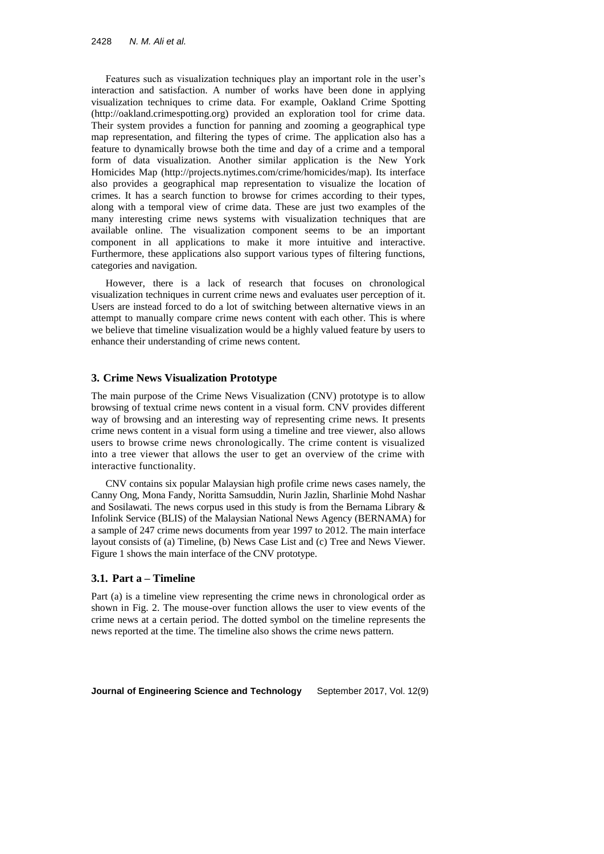Features such as visualization techniques play an important role in the user's interaction and satisfaction. A number of works have been done in applying visualization techniques to crime data. For example, Oakland Crime Spotting (http://oakland.crimespotting.org) provided an exploration tool for crime data. Their system provides a function for panning and zooming a geographical type map representation, and filtering the types of crime. The application also has a feature to dynamically browse both the time and day of a crime and a temporal form of data visualization. Another similar application is the New York Homicides Map (http://projects.nytimes.com/crime/homicides/map). Its interface also provides a geographical map representation to visualize the location of crimes. It has a search function to browse for crimes according to their types, along with a temporal view of crime data. These are just two examples of the many interesting crime news systems with visualization techniques that are available online. The visualization component seems to be an important component in all applications to make it more intuitive and interactive. Furthermore, these applications also support various types of filtering functions, categories and navigation.

However, there is a lack of research that focuses on chronological visualization techniques in current crime news and evaluates user perception of it. Users are instead forced to do a lot of switching between alternative views in an attempt to manually compare crime news content with each other. This is where we believe that timeline visualization would be a highly valued feature by users to enhance their understanding of crime news content.

# **3. Crime News Visualization Prototype**

The main purpose of the Crime News Visualization (CNV) prototype is to allow browsing of textual crime news content in a visual form. CNV provides different way of browsing and an interesting way of representing crime news. It presents crime news content in a visual form using a timeline and tree viewer, also allows users to browse crime news chronologically. The crime content is visualized into a tree viewer that allows the user to get an overview of the crime with interactive functionality.

CNV contains six popular Malaysian high profile crime news cases namely, the Canny Ong, Mona Fandy, Noritta Samsuddin, Nurin Jazlin, Sharlinie Mohd Nashar and Sosilawati. The news corpus used in this study is from the Bernama Library & Infolink Service (BLIS) of the Malaysian National News Agency (BERNAMA) for a sample of 247 crime news documents from year 1997 to 2012. The main interface layout consists of (a) Timeline, (b) News Case List and (c) Tree and News Viewer. Figure 1 shows the main interface of the CNV prototype.

# **3.1. Part a – Timeline**

Part (a) is a timeline view representing the crime news in chronological order as shown in Fig. 2. The mouse-over function allows the user to view events of the crime news at a certain period. The dotted symbol on the timeline represents the news reported at the time. The timeline also shows the crime news pattern.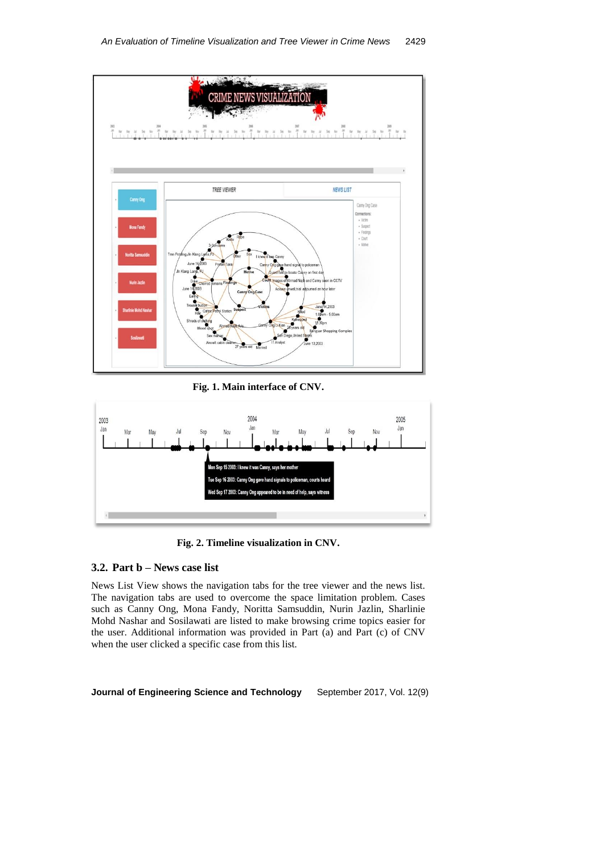

**Fig. 1. Main interface of CNV.**



**Fig. 2. Timeline visualization in CNV.**

# **3.2. Part b – News case list**

News List View shows the navigation tabs for the tree viewer and the news list. The navigation tabs are used to overcome the space limitation problem. Cases such as Canny Ong, Mona Fandy, Noritta Samsuddin, Nurin Jazlin, Sharlinie Mohd Nashar and Sosilawati are listed to make browsing crime topics easier for the user. Additional information was provided in Part (a) and Part (c) of CNV when the user clicked a specific case from this list.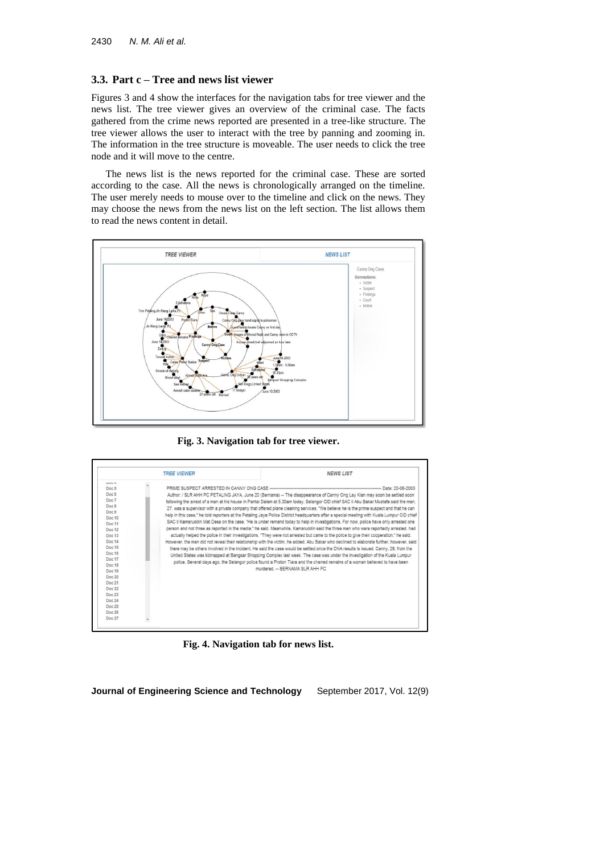# **3.3. Part c – Tree and news list viewer**

Figures 3 and 4 show the interfaces for the navigation tabs for tree viewer and the news list. The tree viewer gives an overview of the criminal case. The facts gathered from the crime news reported are presented in a tree-like structure. The tree viewer allows the user to interact with the tree by panning and zooming in. The information in the tree structure is moveable. The user needs to click the tree node and it will move to the centre.

The news list is the news reported for the criminal case. These are sorted according to the case. All the news is chronologically arranged on the timeline. The user merely needs to mouse over to the timeline and click on the news. They may choose the news from the news list on the left section. The list allows them to read the news content in detail.



**Fig. 3. Navigation tab for tree viewer.**

| LIVL 4<br>Doc 5<br>Doc 6<br>Doc 7<br>Doc 8<br>Doc 9<br>Doc 10<br>Doc 11<br>Doc 12<br>Doc 13<br>Doc 14<br>Doc 15<br>Doc 16<br>Doc 17<br>Doc 18<br>Doc 19<br>Doc 20 | <b>TREE VIEWER</b> | NEWS LIST<br>--- Date: 20-06-2003<br>Author: / SLR AHH PC PETALING JAYA, June 20 (Bernama) -- The disappearance of Canny Ong Lay Kian may soon be settled soon<br>following the arrest of a man at his house in Pantai Dalam at 5.30am today. Selangor CID chief SAC II Abu Bakar Mustafa said the man,<br>27, was a supervisor with a private company that offered plane cleaning services. "We believe he is the prime suspect and that he can<br>help in this case." he told reporters at the Petaling Java Police District headquarters after a special meeting with Kuala Lumpur CID chief<br>SAC II Kamaruddin Mat Desa on the case. "He is under remand today to help in investigations. For now, police have only arrested one<br>person and not three as reported in the media." he said. Meanwhile, Kamaruddin said the three men who were reportedly arrested, had<br>actually helped the police in their investigations. "They were not arrested but came to the police to give their cooperation," he said.<br>However, the men did not reveal their relationship with the victim, he added. Abu Bakar who declined to elaborate further, however, said<br>there may be others involved in the incident. He said the case would be settled once the DNA results is issued. Canny, 28, from the<br>United States was kidnapped at Bangsar Shopping Complex last week. The case was under the investigation of the Kuala Lumpur<br>police. Several days ago, the Selangor police found a Proton Tiara and the charred remains of a woman believed to have been<br>murdered - RERNAMA SLR AHH PC |
|-------------------------------------------------------------------------------------------------------------------------------------------------------------------|--------------------|------------------------------------------------------------------------------------------------------------------------------------------------------------------------------------------------------------------------------------------------------------------------------------------------------------------------------------------------------------------------------------------------------------------------------------------------------------------------------------------------------------------------------------------------------------------------------------------------------------------------------------------------------------------------------------------------------------------------------------------------------------------------------------------------------------------------------------------------------------------------------------------------------------------------------------------------------------------------------------------------------------------------------------------------------------------------------------------------------------------------------------------------------------------------------------------------------------------------------------------------------------------------------------------------------------------------------------------------------------------------------------------------------------------------------------------------------------------------------------------------------------------------------------------------------------------------------------------------------------|
| Doc 21<br>Doc 22                                                                                                                                                  |                    |                                                                                                                                                                                                                                                                                                                                                                                                                                                                                                                                                                                                                                                                                                                                                                                                                                                                                                                                                                                                                                                                                                                                                                                                                                                                                                                                                                                                                                                                                                                                                                                                            |
| Doc 23                                                                                                                                                            |                    |                                                                                                                                                                                                                                                                                                                                                                                                                                                                                                                                                                                                                                                                                                                                                                                                                                                                                                                                                                                                                                                                                                                                                                                                                                                                                                                                                                                                                                                                                                                                                                                                            |
| Doc $24$                                                                                                                                                          |                    |                                                                                                                                                                                                                                                                                                                                                                                                                                                                                                                                                                                                                                                                                                                                                                                                                                                                                                                                                                                                                                                                                                                                                                                                                                                                                                                                                                                                                                                                                                                                                                                                            |
| Doc 25                                                                                                                                                            |                    |                                                                                                                                                                                                                                                                                                                                                                                                                                                                                                                                                                                                                                                                                                                                                                                                                                                                                                                                                                                                                                                                                                                                                                                                                                                                                                                                                                                                                                                                                                                                                                                                            |
| Doc 26                                                                                                                                                            |                    |                                                                                                                                                                                                                                                                                                                                                                                                                                                                                                                                                                                                                                                                                                                                                                                                                                                                                                                                                                                                                                                                                                                                                                                                                                                                                                                                                                                                                                                                                                                                                                                                            |

**Fig. 4. Navigation tab for news list.**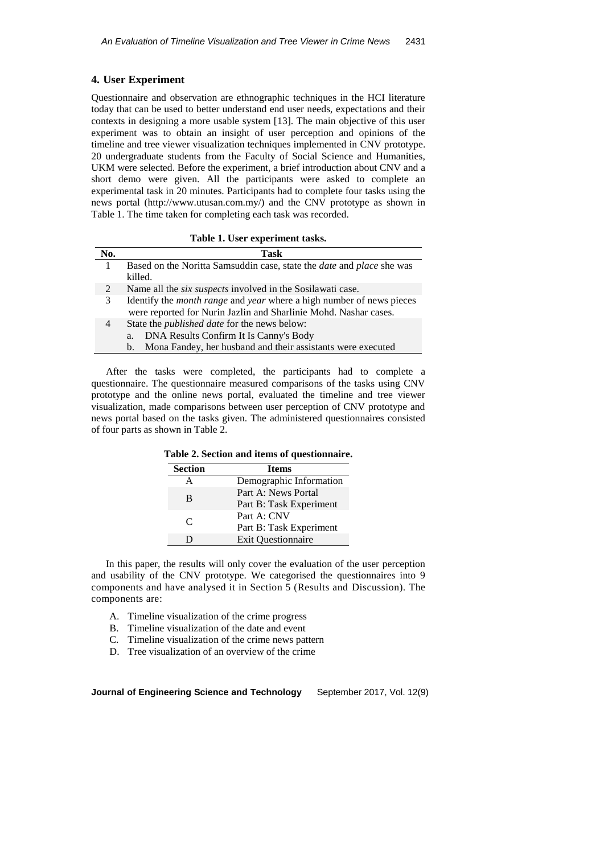# **4. User Experiment**

Questionnaire and observation are ethnographic techniques in the HCI literature today that can be used to better understand end user needs, expectations and their contexts in designing a more usable system [13]. The main objective of this user experiment was to obtain an insight of user perception and opinions of the timeline and tree viewer visualization techniques implemented in CNV prototype. 20 undergraduate students from the Faculty of Social Science and Humanities, UKM were selected. Before the experiment, a brief introduction about CNV and a short demo were given. All the participants were asked to complete an experimental task in 20 minutes. Participants had to complete four tasks using the news portal (http://www.utusan.com.my/) and the CNV prototype as shown in Table 1. The time taken for completing each task was recorded.

| No. | Task                                                                                |
|-----|-------------------------------------------------------------------------------------|
|     | Based on the Noritta Samsuddin case, state the <i>date</i> and <i>place</i> she was |
|     | killed.                                                                             |
| 2   | Name all the <i>six suspects</i> involved in the Sosilawati case.                   |
| 3   | Identify the <i>month range</i> and <i>year</i> where a high number of news pieces  |
|     | were reported for Nurin Jazlin and Sharlinie Mohd. Nashar cases.                    |
| 4   | State the <i>published date</i> for the news below:                                 |
|     | DNA Results Confirm It Is Canny's Body<br>a.                                        |
|     | Mona Fandey, her husband and their assistants were executed<br>$b_{1}$              |

**Table 1. User experiment tasks.**

After the tasks were completed, the participants had to complete a questionnaire. The questionnaire measured comparisons of the tasks using CNV prototype and the online news portal, evaluated the timeline and tree viewer visualization, made comparisons between user perception of CNV prototype and news portal based on the tasks given. The administered questionnaires consisted of four parts as shown in Table 2.

| capic 2. Section and hems or questionnan e. |                                                |  |  |  |
|---------------------------------------------|------------------------------------------------|--|--|--|
| <b>Section</b>                              | <b>Items</b>                                   |  |  |  |
| A                                           | Demographic Information                        |  |  |  |
| R                                           | Part A: News Portal<br>Part B: Task Experiment |  |  |  |
| C                                           | Part A: CNV<br>Part B: Task Experiment         |  |  |  |
| D                                           | <b>Exit Questionnaire</b>                      |  |  |  |

**Table 2. Section and items of questionnaire.**

In this paper, the results will only cover the evaluation of the user perception and usability of the CNV prototype. We categorised the questionnaires into 9 components and have analysed it in Section 5 (Results and Discussion). The components are:

- A. Timeline visualization of the crime progress
- B. Timeline visualization of the date and event
- C. Timeline visualization of the crime news pattern
- D. Tree visualization of an overview of the crime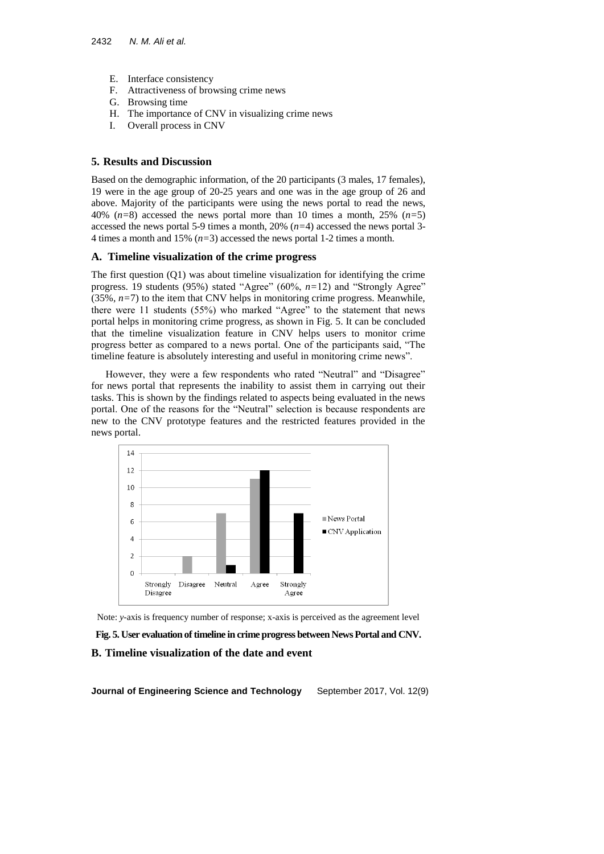- E. Interface consistency
- F. Attractiveness of browsing crime news
- G. Browsing time
- H. The importance of CNV in visualizing crime news
- I. Overall process in CNV

# **5. Results and Discussion**

Based on the demographic information, of the 20 participants (3 males, 17 females), 19 were in the age group of 20-25 years and one was in the age group of 26 and above. Majority of the participants were using the news portal to read the news, 40% (*n=*8) accessed the news portal more than 10 times a month, 25% (*n=*5) accessed the news portal 5-9 times a month, 20% (*n=*4) accessed the news portal 3- 4 times a month and 15% (*n=*3) accessed the news portal 1-2 times a month.

# **A. Timeline visualization of the crime progress**

The first question (Q1) was about timeline visualization for identifying the crime progress. 19 students (95%) stated "Agree" (60%, *n=*12) and "Strongly Agree"  $(35\%, n=7)$  to the item that CNV helps in monitoring crime progress. Meanwhile, there were 11 students (55%) who marked "Agree" to the statement that news portal helps in monitoring crime progress, as shown in Fig. 5. It can be concluded that the timeline visualization feature in CNV helps users to monitor crime progress better as compared to a news portal. One of the participants said, "The timeline feature is absolutely interesting and useful in monitoring crime news".

However, they were a few respondents who rated "Neutral" and "Disagree" for news portal that represents the inability to assist them in carrying out their tasks. This is shown by the findings related to aspects being evaluated in the news portal. One of the reasons for the "Neutral" selection is because respondents are new to the CNV prototype features and the restricted features provided in the news portal.



Note: *y*-axis is frequency number of response; x-axis is perceived as the agreement level

# **Fig. 5. User evaluation of timeline in crime progress between News Portal and CNV. B. Timeline visualization of the date and event**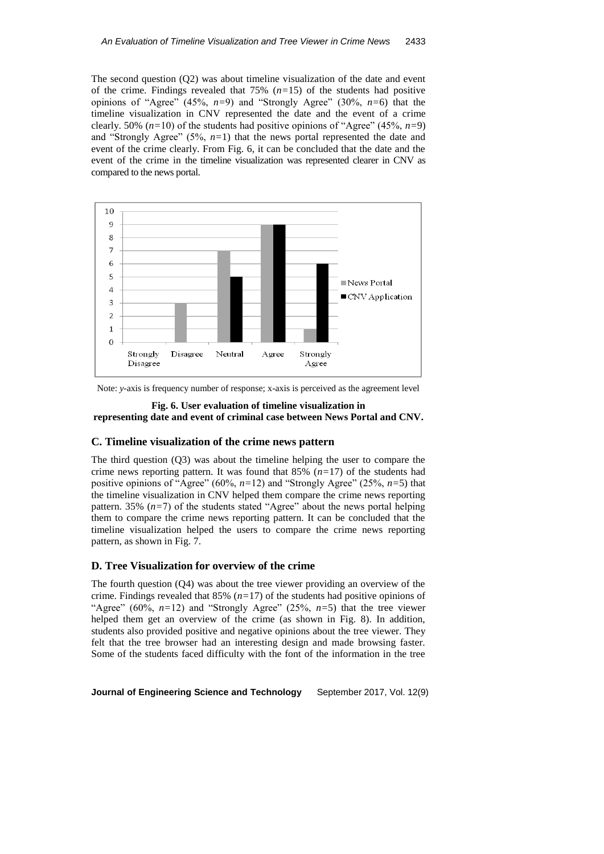The second question (Q2) was about timeline visualization of the date and event of the crime. Findings revealed that 75% (*n=*15) of the students had positive opinions of "Agree" (45%, *n=*9) and "Strongly Agree" (30%, *n=*6) that the timeline visualization in CNV represented the date and the event of a crime clearly. 50% (*n=*10) of the students had positive opinions of "Agree" (45%, *n=*9) and "Strongly Agree" (5%, *n=*1) that the news portal represented the date and event of the crime clearly. From Fig. 6, it can be concluded that the date and the event of the crime in the timeline visualization was represented clearer in CNV as compared to the news portal.



Note: *y*-axis is frequency number of response; x-axis is perceived as the agreement level

#### **Fig. 6. User evaluation of timeline visualization in representing date and event of criminal case between News Portal and CNV.**

# **C. Timeline visualization of the crime news pattern**

The third question (Q3) was about the timeline helping the user to compare the crime news reporting pattern. It was found that 85% (*n=*17) of the students had positive opinions of "Agree" (60%, *n=*12) and "Strongly Agree" (25%, *n=*5) that the timeline visualization in CNV helped them compare the crime news reporting pattern. 35%  $(n=7)$  of the students stated "Agree" about the news portal helping them to compare the crime news reporting pattern. It can be concluded that the timeline visualization helped the users to compare the crime news reporting pattern, as shown in Fig. 7.

# **D. Tree Visualization for overview of the crime**

The fourth question (Q4) was about the tree viewer providing an overview of the crime. Findings revealed that 85% (*n=*17) of the students had positive opinions of "Agree" (60%,  $n=12$ ) and "Strongly Agree" (25%,  $n=5$ ) that the tree viewer helped them get an overview of the crime (as shown in Fig. 8). In addition, students also provided positive and negative opinions about the tree viewer. They felt that the tree browser had an interesting design and made browsing faster. Some of the students faced difficulty with the font of the information in the tree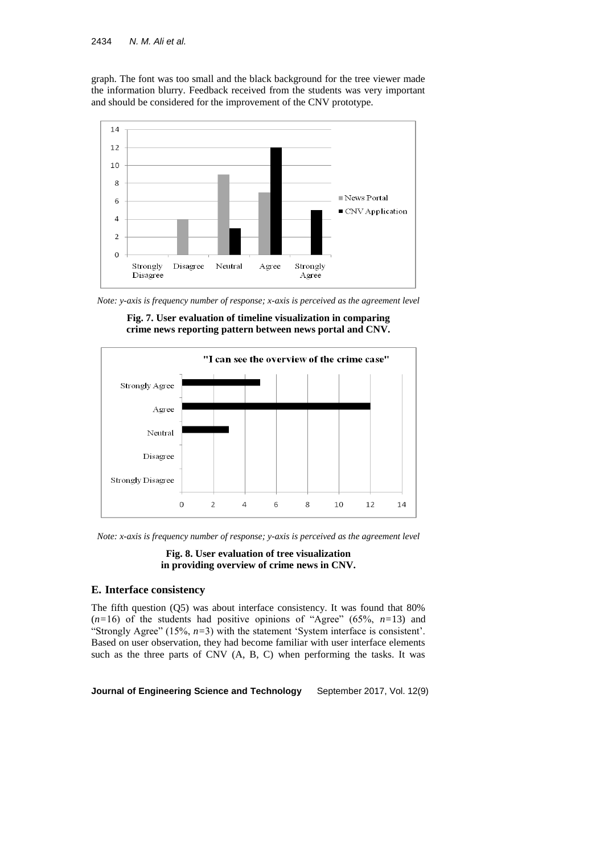graph. The font was too small and the black background for the tree viewer made the information blurry. Feedback received from the students was very important and should be considered for the improvement of the CNV prototype.



*Note: y-axis is frequency number of response; x-axis is perceived as the agreement level* 



**Fig. 7. User evaluation of timeline visualization in comparing crime news reporting pattern between news portal and CNV.** 

*Note: x-axis is frequency number of response; y-axis is perceived as the agreement level* 

**Fig. 8. User evaluation of tree visualization in providing overview of crime news in CNV.** 

# **E. Interface consistency**

The fifth question (Q5) was about interface consistency. It was found that 80%  $(n=16)$  of the students had positive opinions of "Agree" (65%,  $n=13$ ) and "Strongly Agree" (15%, *n=*3) with the statement 'System interface is consistent'. Based on user observation, they had become familiar with user interface elements such as the three parts of CNV (A, B, C) when performing the tasks. It was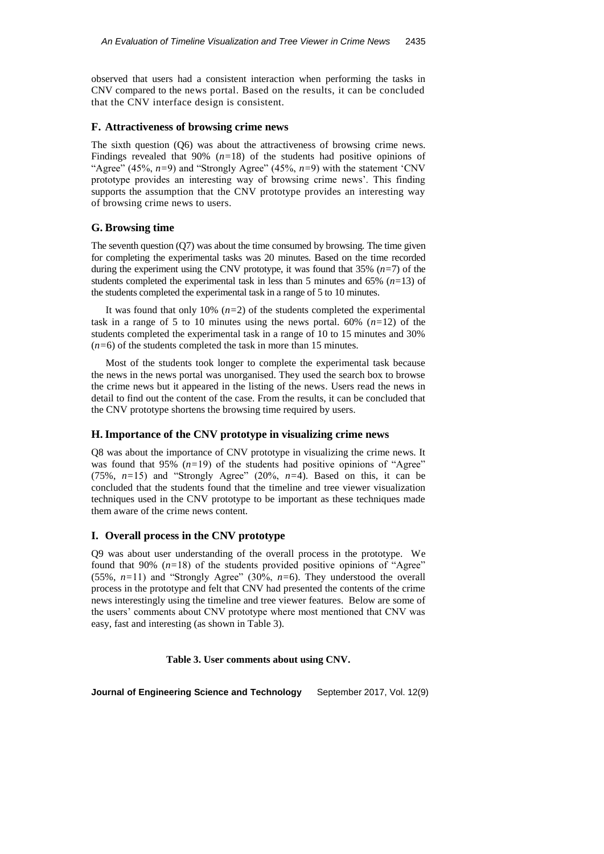observed that users had a consistent interaction when performing the tasks in CNV compared to the news portal. Based on the results, it can be concluded that the CNV interface design is consistent.

### **F. Attractiveness of browsing crime news**

The sixth question (Q6) was about the attractiveness of browsing crime news. Findings revealed that 90% (*n=*18) of the students had positive opinions of "Agree" (45%, *n=*9) and "Strongly Agree" (45%, *n=*9) with the statement 'CNV prototype provides an interesting way of browsing crime news'. This finding supports the assumption that the CNV prototype provides an interesting way of browsing crime news to users.

# **G. Browsing time**

The seventh question (Q7) was about the time consumed by browsing. The time given for completing the experimental tasks was 20 minutes. Based on the time recorded during the experiment using the CNV prototype, it was found that 35% (*n=*7) of the students completed the experimental task in less than 5 minutes and 65% (*n=*13) of the students completed the experimental task in a range of 5 to 10 minutes.

It was found that only 10% (*n=*2) of the students completed the experimental task in a range of 5 to 10 minutes using the news portal.  $60\%$   $(n=12)$  of the students completed the experimental task in a range of 10 to 15 minutes and 30% (*n=*6) of the students completed the task in more than 15 minutes.

Most of the students took longer to complete the experimental task because the news in the news portal was unorganised. They used the search box to browse the crime news but it appeared in the listing of the news. Users read the news in detail to find out the content of the case. From the results, it can be concluded that the CNV prototype shortens the browsing time required by users.

# **H. Importance of the CNV prototype in visualizing crime news**

Q8 was about the importance of CNV prototype in visualizing the crime news. It was found that 95% (*n=*19) of the students had positive opinions of "Agree" (75%, *n=*15) and "Strongly Agree" (20%, *n=*4). Based on this, it can be concluded that the students found that the timeline and tree viewer visualization techniques used in the CNV prototype to be important as these techniques made them aware of the crime news content.

# **I. Overall process in the CNV prototype**

Q9 was about user understanding of the overall process in the prototype. We found that 90% (*n=*18) of the students provided positive opinions of "Agree" (55%, *n=*11) and "Strongly Agree" (30%, *n=*6). They understood the overall process in the prototype and felt that CNV had presented the contents of the crime news interestingly using the timeline and tree viewer features. Below are some of the users' comments about CNV prototype where most mentioned that CNV was easy, fast and interesting (as shown in Table 3).

**Table 3. User comments about using CNV.**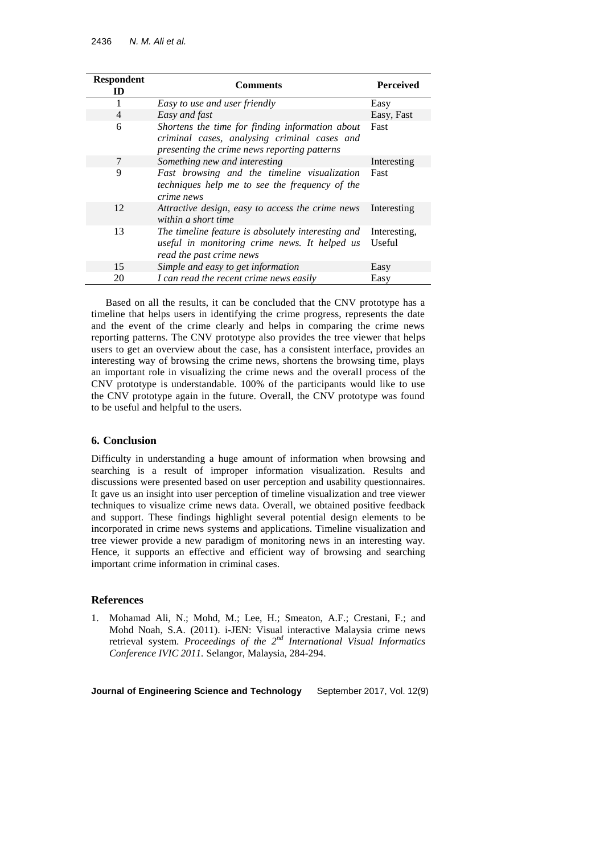| <b>Respondent</b><br>ID | Comments                                                                                                                                        | <b>Perceived</b>       |
|-------------------------|-------------------------------------------------------------------------------------------------------------------------------------------------|------------------------|
|                         | Easy to use and user friendly                                                                                                                   | Easy                   |
| $\overline{4}$          | Easy and fast                                                                                                                                   | Easy, Fast             |
| 6                       | Shortens the time for finding information about<br>criminal cases, analysing criminal cases and<br>presenting the crime news reporting patterns | Fast                   |
| 7                       | Something new and interesting                                                                                                                   | Interesting            |
| 9                       | Fast browsing and the timeline visualization<br>techniques help me to see the frequency of the<br>crime news                                    | Fast                   |
| 12                      | Attractive design, easy to access the crime news<br>within a short time                                                                         | Interesting            |
| 13                      | The timeline feature is absolutely interesting and<br>useful in monitoring crime news. It helped us<br>read the past crime news                 | Interesting,<br>Useful |
| 15                      | Simple and easy to get information                                                                                                              | Easy                   |
| 20                      | I can read the recent crime news easily                                                                                                         | Easy                   |

Based on all the results, it can be concluded that the CNV prototype has a timeline that helps users in identifying the crime progress, represents the date and the event of the crime clearly and helps in comparing the crime news reporting patterns. The CNV prototype also provides the tree viewer that helps users to get an overview about the case, has a consistent interface, provides an interesting way of browsing the crime news, shortens the browsing time, plays an important role in visualizing the crime news and the overall process of the CNV prototype is understandable. 100% of the participants would like to use the CNV prototype again in the future. Overall, the CNV prototype was found to be useful and helpful to the users.

# **6. Conclusion**

Difficulty in understanding a huge amount of information when browsing and searching is a result of improper information visualization. Results and discussions were presented based on user perception and usability questionnaires. It gave us an insight into user perception of timeline visualization and tree viewer techniques to visualize crime news data. Overall, we obtained positive feedback and support. These findings highlight several potential design elements to be incorporated in crime news systems and applications. Timeline visualization and tree viewer provide a new paradigm of monitoring news in an interesting way. Hence, it supports an effective and efficient way of browsing and searching important crime information in criminal cases.

# **References**

1. Mohamad Ali, N.; Mohd, M.; Lee, H.; Smeaton, A.F.; Crestani, F.; and Mohd Noah, S.A. (2011). i-JEN: Visual interactive Malaysia crime news retrieval system. *Proceedings of the 2nd International Visual Informatics Conference IVIC 2011.* Selangor, Malaysia, 284-294.